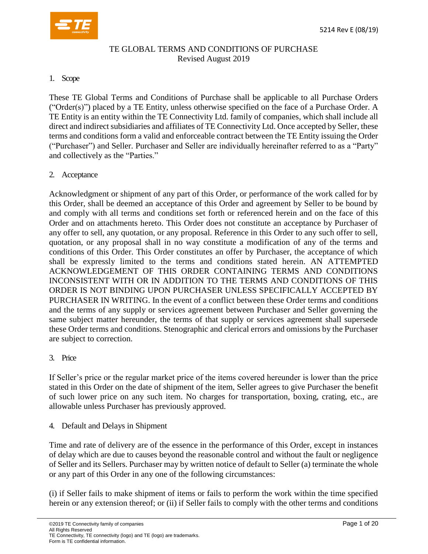

### TE GLOBAL TERMS AND CONDITIONS OF PURCHASE Revised August 2019

#### 1. Scope

These TE Global Terms and Conditions of Purchase shall be applicable to all Purchase Orders ("Order(s)") placed by a TE Entity, unless otherwise specified on the face of a Purchase Order. A TE Entity is an entity within the TE Connectivity Ltd. family of companies, which shall include all direct and indirect subsidiaries and affiliates of TE Connectivity Ltd. Once accepted by Seller, these terms and conditions form a valid and enforceable contract between the TE Entity issuing the Order ("Purchaser") and Seller. Purchaser and Seller are individually hereinafter referred to as a "Party" and collectively as the "Parties."

#### 2. Acceptance

Acknowledgment or shipment of any part of this Order, or performance of the work called for by this Order, shall be deemed an acceptance of this Order and agreement by Seller to be bound by and comply with all terms and conditions set forth or referenced herein and on the face of this Order and on attachments hereto. This Order does not constitute an acceptance by Purchaser of any offer to sell, any quotation, or any proposal. Reference in this Order to any such offer to sell, quotation, or any proposal shall in no way constitute a modification of any of the terms and conditions of this Order. This Order constitutes an offer by Purchaser, the acceptance of which shall be expressly limited to the terms and conditions stated herein. AN ATTEMPTED ACKNOWLEDGEMENT OF THIS ORDER CONTAINING TERMS AND CONDITIONS INCONSISTENT WITH OR IN ADDITION TO THE TERMS AND CONDITIONS OF THIS ORDER IS NOT BINDING UPON PURCHASER UNLESS SPECIFICALLY ACCEPTED BY PURCHASER IN WRITING. In the event of a conflict between these Order terms and conditions and the terms of any supply or services agreement between Purchaser and Seller governing the same subject matter hereunder, the terms of that supply or services agreement shall supersede these Order terms and conditions. Stenographic and clerical errors and omissions by the Purchaser are subject to correction.

#### 3. Price

If Seller's price or the regular market price of the items covered hereunder is lower than the price stated in this Order on the date of shipment of the item, Seller agrees to give Purchaser the benefit of such lower price on any such item. No charges for transportation, boxing, crating, etc., are allowable unless Purchaser has previously approved.

4. Default and Delays in Shipment

Time and rate of delivery are of the essence in the performance of this Order, except in instances of delay which are due to causes beyond the reasonable control and without the fault or negligence of Seller and its Sellers. Purchaser may by written notice of default to Seller (a) terminate the whole or any part of this Order in any one of the following circumstances:

(i) if Seller fails to make shipment of items or fails to perform the work within the time specified herein or any extension thereof; or (ii) if Seller fails to comply with the other terms and conditions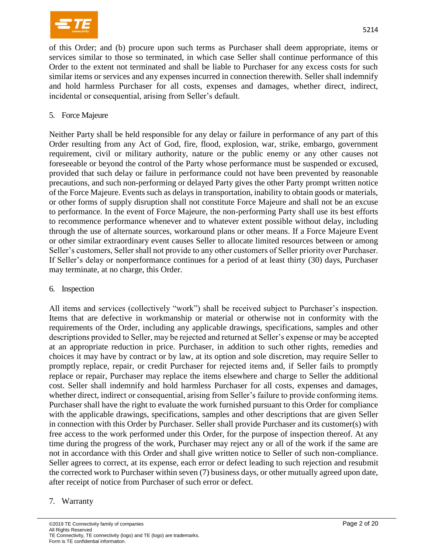

of this Order; and (b) procure upon such terms as Purchaser shall deem appropriate, items or services similar to those so terminated, in which case Seller shall continue performance of this Order to the extent not terminated and shall be liable to Purchaser for any excess costs for such similar items or services and any expenses incurred in connection therewith. Seller shall indemnify and hold harmless Purchaser for all costs, expenses and damages, whether direct, indirect, incidental or consequential, arising from Seller's default.

5. Force Majeure

Neither Party shall be held responsible for any delay or failure in performance of any part of this Order resulting from any Act of God, fire, flood, explosion, war, strike, embargo, government requirement, civil or military authority, nature or the public enemy or any other causes not foreseeable or beyond the control of the Party whose performance must be suspended or excused, provided that such delay or failure in performance could not have been prevented by reasonable precautions, and such non-performing or delayed Party gives the other Party prompt written notice of the Force Majeure. Events such as delays in transportation, inability to obtain goods or materials, or other forms of supply disruption shall not constitute Force Majeure and shall not be an excuse to performance. In the event of Force Majeure, the non-performing Party shall use its best efforts to recommence performance whenever and to whatever extent possible without delay, including through the use of alternate sources, workaround plans or other means. If a Force Majeure Event or other similar extraordinary event causes Seller to allocate limited resources between or among Seller's customers, Seller shall not provide to any other customers of Seller priority over Purchaser. If Seller's delay or nonperformance continues for a period of at least thirty (30) days, Purchaser may terminate, at no charge, this Order.

6. Inspection

All items and services (collectively "work") shall be received subject to Purchaser's inspection. Items that are defective in workmanship or material or otherwise not in conformity with the requirements of the Order, including any applicable drawings, specifications, samples and other descriptions provided to Seller, may be rejected and returned at Seller's expense or may be accepted at an appropriate reduction in price. Purchaser, in addition to such other rights, remedies and choices it may have by contract or by law, at its option and sole discretion, may require Seller to promptly replace, repair, or credit Purchaser for rejected items and, if Seller fails to promptly replace or repair, Purchaser may replace the items elsewhere and charge to Seller the additional cost. Seller shall indemnify and hold harmless Purchaser for all costs, expenses and damages, whether direct, indirect or consequential, arising from Seller's failure to provide conforming items. Purchaser shall have the right to evaluate the work furnished pursuant to this Order for compliance with the applicable drawings, specifications, samples and other descriptions that are given Seller in connection with this Order by Purchaser. Seller shall provide Purchaser and its customer(s) with free access to the work performed under this Order, for the purpose of inspection thereof. At any time during the progress of the work, Purchaser may reject any or all of the work if the same are not in accordance with this Order and shall give written notice to Seller of such non-compliance. Seller agrees to correct, at its expense, each error or defect leading to such rejection and resubmit the corrected work to Purchaser within seven (7) business days, or other mutually agreed upon date, after receipt of notice from Purchaser of such error or defect.

#### 7. Warranty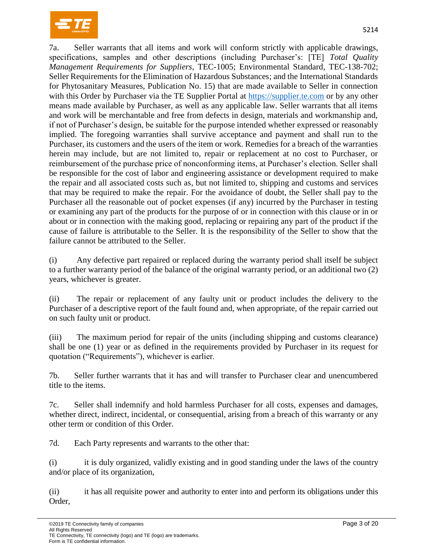

7a. Seller warrants that all items and work will conform strictly with applicable drawings, specifications, samples and other descriptions (including Purchaser's: [TE] *Total Quality Management Requirements for Suppliers*, TEC-1005; Environmental Standard, TEC-138-702; Seller Requirements for the Elimination of Hazardous Substances; and the International Standards for Phytosanitary Measures, Publication No. 15) that are made available to Seller in connection with this Order by Purchaser via the TE Supplier Portal at [https://supplier.te.com](https://supplier.te.com/) or by any other means made available by Purchaser, as well as any applicable law. Seller warrants that all items and work will be merchantable and free from defects in design, materials and workmanship and, if not of Purchaser's design, be suitable for the purpose intended whether expressed or reasonably implied. The foregoing warranties shall survive acceptance and payment and shall run to the Purchaser, its customers and the users of the item or work. Remedies for a breach of the warranties herein may include, but are not limited to, repair or replacement at no cost to Purchaser, or reimbursement of the purchase price of nonconforming items, at Purchaser's election. Seller shall be responsible for the cost of labor and engineering assistance or development required to make the repair and all associated costs such as, but not limited to, shipping and customs and services that may be required to make the repair. For the avoidance of doubt, the Seller shall pay to the Purchaser all the reasonable out of pocket expenses (if any) incurred by the Purchaser in testing or examining any part of the products for the purpose of or in connection with this clause or in or about or in connection with the making good, replacing or repairing any part of the product if the cause of failure is attributable to the Seller. It is the responsibility of the Seller to show that the failure cannot be attributed to the Seller.

(i) Any defective part repaired or replaced during the warranty period shall itself be subject to a further warranty period of the balance of the original warranty period, or an additional two (2) years, whichever is greater.

(ii) The repair or replacement of any faulty unit or product includes the delivery to the Purchaser of a descriptive report of the fault found and, when appropriate, of the repair carried out on such faulty unit or product.

(iii) The maximum period for repair of the units (including shipping and customs clearance) shall be one (1) year or as defined in the requirements provided by Purchaser in its request for quotation ("Requirements"), whichever is earlier.

7b. Seller further warrants that it has and will transfer to Purchaser clear and unencumbered title to the items.

7c. Seller shall indemnify and hold harmless Purchaser for all costs, expenses and damages, whether direct, indirect, incidental, or consequential, arising from a breach of this warranty or any other term or condition of this Order.

7d. Each Party represents and warrants to the other that:

(i) it is duly organized, validly existing and in good standing under the laws of the country and/or place of its organization,

(ii) it has all requisite power and authority to enter into and perform its obligations under this Order,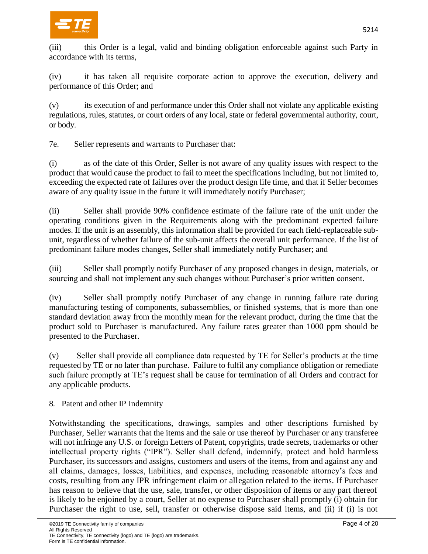

(iii) this Order is a legal, valid and binding obligation enforceable against such Party in accordance with its terms,

(iv) it has taken all requisite corporate action to approve the execution, delivery and performance of this Order; and

(v) its execution of and performance under this Order shall not violate any applicable existing regulations, rules, statutes, or court orders of any local, state or federal governmental authority, court, or body.

7e. Seller represents and warrants to Purchaser that:

(i) as of the date of this Order, Seller is not aware of any quality issues with respect to the product that would cause the product to fail to meet the specifications including, but not limited to, exceeding the expected rate of failures over the product design life time, and that if Seller becomes aware of any quality issue in the future it will immediately notify Purchaser;

(ii) Seller shall provide 90% confidence estimate of the failure rate of the unit under the operating conditions given in the Requirements along with the predominant expected failure modes. If the unit is an assembly, this information shall be provided for each field-replaceable subunit, regardless of whether failure of the sub-unit affects the overall unit performance. If the list of predominant failure modes changes, Seller shall immediately notify Purchaser; and

(iii) Seller shall promptly notify Purchaser of any proposed changes in design, materials, or sourcing and shall not implement any such changes without Purchaser's prior written consent.

(iv) Seller shall promptly notify Purchaser of any change in running failure rate during manufacturing testing of components, subassemblies, or finished systems, that is more than one standard deviation away from the monthly mean for the relevant product, during the time that the product sold to Purchaser is manufactured. Any failure rates greater than 1000 ppm should be presented to the Purchaser.

(v) Seller shall provide all compliance data requested by TE for Seller's products at the time requested by TE or no later than purchase. Failure to fulfil any compliance obligation or remediate such failure promptly at TE's request shall be cause for termination of all Orders and contract for any applicable products.

8. Patent and other IP Indemnity

Notwithstanding the specifications, drawings, samples and other descriptions furnished by Purchaser, Seller warrants that the items and the sale or use thereof by Purchaser or any transferee will not infringe any U.S. or foreign Letters of Patent, copyrights, trade secrets, trademarks or other intellectual property rights ("IPR"). Seller shall defend, indemnify, protect and hold harmless Purchaser, its successors and assigns, customers and users of the items, from and against any and all claims, damages, losses, liabilities, and expenses, including reasonable attorney's fees and costs, resulting from any IPR infringement claim or allegation related to the items. If Purchaser has reason to believe that the use, sale, transfer, or other disposition of items or any part thereof is likely to be enjoined by a court, Seller at no expense to Purchaser shall promptly (i) obtain for Purchaser the right to use, sell, transfer or otherwise dispose said items, and (ii) if (i) is not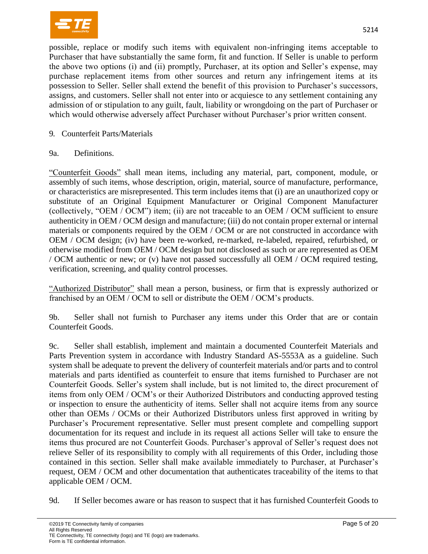

possible, replace or modify such items with equivalent non-infringing items acceptable to Purchaser that have substantially the same form, fit and function. If Seller is unable to perform the above two options (i) and (ii) promptly, Purchaser, at its option and Seller's expense, may purchase replacement items from other sources and return any infringement items at its possession to Seller. Seller shall extend the benefit of this provision to Purchaser's successors, assigns, and customers. Seller shall not enter into or acquiesce to any settlement containing any admission of or stipulation to any guilt, fault, liability or wrongdoing on the part of Purchaser or which would otherwise adversely affect Purchaser without Purchaser's prior written consent.

### 9. Counterfeit Parts/Materials

#### 9a. Definitions.

"Counterfeit Goods" shall mean items, including any material, part, component, module, or assembly of such items, whose description, origin, material, source of manufacture, performance, or characteristics are misrepresented. This term includes items that (i) are an unauthorized copy or substitute of an Original Equipment Manufacturer or Original Component Manufacturer (collectively, "OEM / OCM") item; (ii) are not traceable to an OEM / OCM sufficient to ensure authenticity in OEM / OCM design and manufacture; (iii) do not contain proper external or internal materials or components required by the OEM / OCM or are not constructed in accordance with OEM / OCM design; (iv) have been re-worked, re-marked, re-labeled, repaired, refurbished, or otherwise modified from OEM / OCM design but not disclosed as such or are represented as OEM / OCM authentic or new; or (v) have not passed successfully all OEM / OCM required testing, verification, screening, and quality control processes.

"Authorized Distributor" shall mean a person, business, or firm that is expressly authorized or franchised by an OEM / OCM to sell or distribute the OEM / OCM's products.

9b. Seller shall not furnish to Purchaser any items under this Order that are or contain Counterfeit Goods.

9c. Seller shall establish, implement and maintain a documented Counterfeit Materials and Parts Prevention system in accordance with Industry Standard AS-5553A as a guideline. Such system shall be adequate to prevent the delivery of counterfeit materials and/or parts and to control materials and parts identified as counterfeit to ensure that items furnished to Purchaser are not Counterfeit Goods. Seller's system shall include, but is not limited to, the direct procurement of items from only OEM / OCM's or their Authorized Distributors and conducting approved testing or inspection to ensure the authenticity of items. Seller shall not acquire items from any source other than OEMs / OCMs or their Authorized Distributors unless first approved in writing by Purchaser's Procurement representative. Seller must present complete and compelling support documentation for its request and include in its request all actions Seller will take to ensure the items thus procured are not Counterfeit Goods. Purchaser's approval of Seller's request does not relieve Seller of its responsibility to comply with all requirements of this Order, including those contained in this section. Seller shall make available immediately to Purchaser, at Purchaser's request, OEM / OCM and other documentation that authenticates traceability of the items to that applicable OEM / OCM.

9d. If Seller becomes aware or has reason to suspect that it has furnished Counterfeit Goods to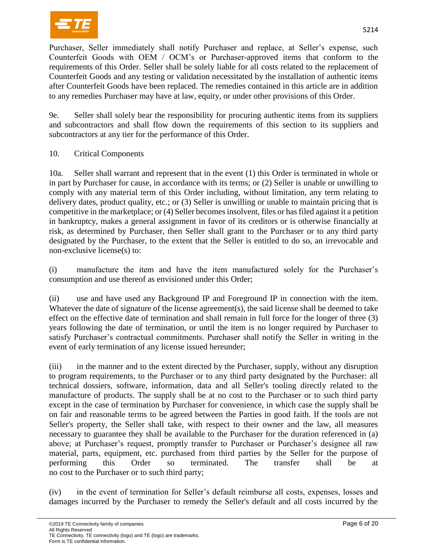

Purchaser, Seller immediately shall notify Purchaser and replace, at Seller's expense, such Counterfeit Goods with OEM / OCM's or Purchaser-approved items that conform to the requirements of this Order. Seller shall be solely liable for all costs related to the replacement of Counterfeit Goods and any testing or validation necessitated by the installation of authentic items after Counterfeit Goods have been replaced. The remedies contained in this article are in addition to any remedies Purchaser may have at law, equity, or under other provisions of this Order.

9e. Seller shall solely bear the responsibility for procuring authentic items from its suppliers and subcontractors and shall flow down the requirements of this section to its suppliers and subcontractors at any tier for the performance of this Order.

10. Critical Components

10a. Seller shall warrant and represent that in the event (1) this Order is terminated in whole or in part by Purchaser for cause, in accordance with its terms; or (2) Seller is unable or unwilling to comply with any material term of this Order including, without limitation, any term relating to delivery dates, product quality, etc.; or (3) Seller is unwilling or unable to maintain pricing that is competitive in the marketplace; or (4) Seller becomes insolvent, files or has filed against it a petition in bankruptcy, makes a general assignment in favor of its creditors or is otherwise financially at risk, as determined by Purchaser, then Seller shall grant to the Purchaser or to any third party designated by the Purchaser, to the extent that the Seller is entitled to do so, an irrevocable and non-exclusive license(s) to:

(i) manufacture the item and have the item manufactured solely for the Purchaser's consumption and use thereof as envisioned under this Order;

(ii) use and have used any Background IP and Foreground IP in connection with the item. Whatever the date of signature of the license agreement(s), the said license shall be deemed to take effect on the effective date of termination and shall remain in full force for the longer of three (3) years following the date of termination, or until the item is no longer required by Purchaser to satisfy Purchaser's contractual commitments. Purchaser shall notify the Seller in writing in the event of early termination of any license issued hereunder;

(iii) in the manner and to the extent directed by the Purchaser, supply, without any disruption to program requirements, to the Purchaser or to any third party designated by the Purchaser: all technical dossiers, software, information, data and all Seller's tooling directly related to the manufacture of products. The supply shall be at no cost to the Purchaser or to such third party except in the case of termination by Purchaser for convenience, in which case the supply shall be on fair and reasonable terms to be agreed between the Parties in good faith. If the tools are not Seller's property, the Seller shall take, with respect to their owner and the law, all measures necessary to guarantee they shall be available to the Purchaser for the duration referenced in (a) above; at Purchaser's request, promptly transfer to Purchaser or Purchaser's designee all raw material, parts, equipment, etc. purchased from third parties by the Seller for the purpose of performing this Order so terminated. The transfer shall be at no cost to the Purchaser or to such third party;

(iv) in the event of termination for Seller's default reimburse all costs, expenses, losses and damages incurred by the Purchaser to remedy the Seller's default and all costs incurred by the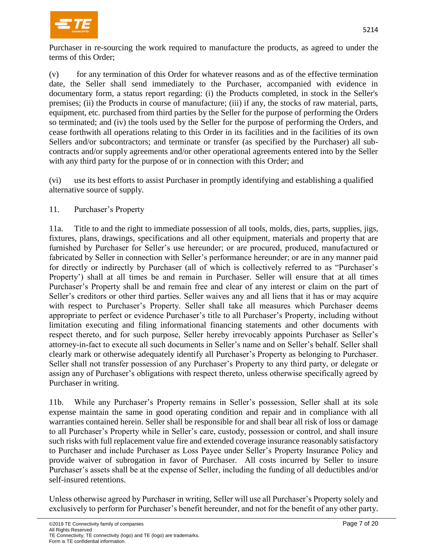

Purchaser in re-sourcing the work required to manufacture the products, as agreed to under the terms of this Order;

(v) for any termination of this Order for whatever reasons and as of the effective termination date, the Seller shall send immediately to the Purchaser, accompanied with evidence in documentary form, a status report regarding: (i) the Products completed, in stock in the Seller's premises; (ii) the Products in course of manufacture; (iii) if any, the stocks of raw material, parts, equipment, etc. purchased from third parties by the Seller for the purpose of performing the Orders so terminated; and (iv) the tools used by the Seller for the purpose of performing the Orders, and cease forthwith all operations relating to this Order in its facilities and in the facilities of its own Sellers and/or subcontractors; and terminate or transfer (as specified by the Purchaser) all subcontracts and/or supply agreements and/or other operational agreements entered into by the Seller with any third party for the purpose of or in connection with this Order; and

(vi) use its best efforts to assist Purchaser in promptly identifying and establishing a qualified alternative source of supply.

# 11. Purchaser's Property

11a. Title to and the right to immediate possession of all tools, molds, dies, parts, supplies, jigs, fixtures, plans, drawings, specifications and all other equipment, materials and property that are furnished by Purchaser for Seller's use hereunder; or are procured, produced, manufactured or fabricated by Seller in connection with Seller's performance hereunder; or are in any manner paid for directly or indirectly by Purchaser (all of which is collectively referred to as "Purchaser's Property') shall at all times be and remain in Purchaser. Seller will ensure that at all times Purchaser's Property shall be and remain free and clear of any interest or claim on the part of Seller's creditors or other third parties. Seller waives any and all liens that it has or may acquire with respect to Purchaser's Property. Seller shall take all measures which Purchaser deems appropriate to perfect or evidence Purchaser's title to all Purchaser's Property, including without limitation executing and filing informational financing statements and other documents with respect thereto, and for such purpose, Seller hereby irrevocably appoints Purchaser as Seller's attorney-in-fact to execute all such documents in Seller's name and on Seller's behalf. Seller shall clearly mark or otherwise adequately identify all Purchaser's Property as belonging to Purchaser. Seller shall not transfer possession of any Purchaser's Property to any third party, or delegate or assign any of Purchaser's obligations with respect thereto, unless otherwise specifically agreed by Purchaser in writing.

11b. While any Purchaser's Property remains in Seller's possession, Seller shall at its sole expense maintain the same in good operating condition and repair and in compliance with all warranties contained herein. Seller shall be responsible for and shall bear all risk of loss or damage to all Purchaser's Property while in Seller's care, custody, possession or control, and shall insure such risks with full replacement value fire and extended coverage insurance reasonably satisfactory to Purchaser and include Purchaser as Loss Payee under Seller's Property Insurance Policy and provide waiver of subrogation in favor of Purchaser. All costs incurred by Seller to insure Purchaser's assets shall be at the expense of Seller, including the funding of all deductibles and/or self-insured retentions.

Unless otherwise agreed by Purchaser in writing, Seller will use all Purchaser's Property solely and exclusively to perform for Purchaser's benefit hereunder, and not for the benefit of any other party.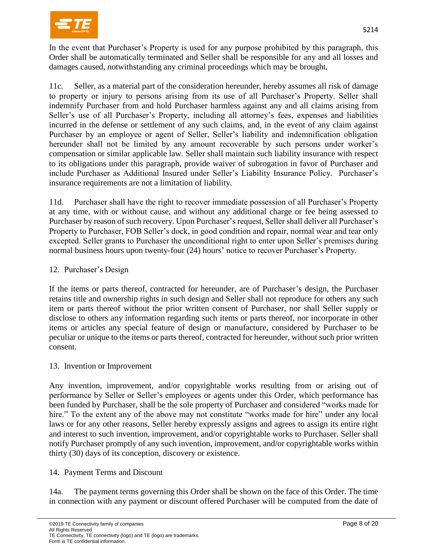

In the event that Purchaser's Property is used for any purpose prohibited by this paragraph, this Order shall be automatically terminated and Seller shall be responsible for any and all losses and damages caused, notwithstanding any criminal proceedings which may be brought.

11c. Seller, as a material part of the consideration hereunder, hereby assumes all risk of damage to property or injury to persons arising from its use of all Purchaser's Property. Seller shall indemnify Purchaser from and hold Purchaser harmless against any and all claims arising from Seller's use of all Purchaser's Property, including all attorney's fees, expenses and liabilities incurred in the defense or settlement of any such claims, and, in the event of any claim against Purchaser by an employee or agent of Seller, Seller's liability and indemnification obligation hereunder shall not be limited by any amount recoverable by such persons under worker's compensation or similar applicable law. Seller shall maintain such liability insurance with respect to its obligations under this paragraph, provide waiver of subrogation in favor of Purchaser and include Purchaser as Additional Insured under Seller's Liability Insurance Policy. Purchaser's insurance requirements are not a limitation of liability.

11d. Purchaser shall have the right to recover immediate possession of all Purchaser's Property at any time, with or without cause, and without any additional charge or fee being assessed to Purchaser by reason of such recovery. Upon Purchaser's request, Seller shall deliver all Purchaser's Property to Purchaser, FOB Seller's dock, in good condition and repair, normal wear and tear only excepted. Seller grants to Purchaser the unconditional right to enter upon Seller's premises during normal business hours upon twenty-four (24) hours' notice to recover Purchaser's Property.

# 12. Purchaser's Design

If the items or parts thereof, contracted for hereunder, are of Purchaser's design, the Purchaser retains title and ownership rights in such design and Seller shall not reproduce for others any such item or parts thereof without the prior written consent of Purchaser, nor shall Seller supply or disclose to others any information regarding such items or parts thereof, nor incorporate in other items or articles any special feature of design or manufacture, considered by Purchaser to be peculiar or unique to the items or parts thereof, contracted for hereunder, without such prior written consent.

#### 13. Invention or Improvement

Any invention, improvement, and/or copyrightable works resulting from or arising out of performance by Seller or Seller's employees or agents under this Order, which performance has been funded by Purchaser, shall be the sole property of Purchaser and considered "works made for hire." To the extent any of the above may not constitute "works made for hire" under any local laws or for any other reasons, Seller hereby expressly assigns and agrees to assign its entire right and interest to such invention, improvement, and/or copyrightable works to Purchaser. Seller shall notify Purchaser promptly of any such invention, improvement, and/or copyrightable works within thirty (30) days of its conception, discovery or existence.

#### 14. Payment Terms and Discount

14a. The payment terms governing this Order shall be shown on the face of this Order. The time in connection with any payment or discount offered Purchaser will be computed from the date of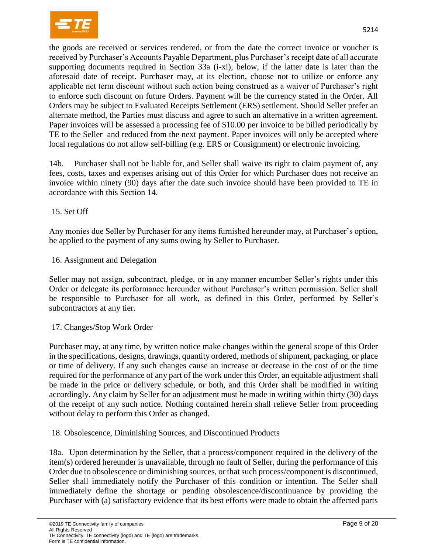

the goods are received or services rendered, or from the date the correct invoice or voucher is received by Purchaser's Accounts Payable Department, plus Purchaser's receipt date of all accurate supporting documents required in Section 33a (i-xi), below, if the latter date is later than the

aforesaid date of receipt. Purchaser may, at its election, choose not to utilize or enforce any applicable net term discount without such action being construed as a waiver of Purchaser's right to enforce such discount on future Orders. Payment will be the currency stated in the Order. All Orders may be subject to Evaluated Receipts Settlement (ERS) settlement. Should Seller prefer an alternate method, the Parties must discuss and agree to such an alternative in a written agreement. Paper invoices will be assessed a processing fee of \$10.00 per invoice to be billed periodically by TE to the Seller and reduced from the next payment. Paper invoices will only be accepted where local regulations do not allow self-billing (e.g. ERS or Consignment) or electronic invoicing.

14b. Purchaser shall not be liable for, and Seller shall waive its right to claim payment of, any fees, costs, taxes and expenses arising out of this Order for which Purchaser does not receive an invoice within ninety (90) days after the date such invoice should have been provided to TE in accordance with this Section 14.

15. Set Off

Any monies due Seller by Purchaser for any items furnished hereunder may, at Purchaser's option, be applied to the payment of any sums owing by Seller to Purchaser.

#### 16. Assignment and Delegation

Seller may not assign, subcontract, pledge, or in any manner encumber Seller's rights under this Order or delegate its performance hereunder without Purchaser's written permission. Seller shall be responsible to Purchaser for all work, as defined in this Order, performed by Seller's subcontractors at any tier.

#### 17. Changes/Stop Work Order

Purchaser may, at any time, by written notice make changes within the general scope of this Order in the specifications, designs, drawings, quantity ordered, methods of shipment, packaging, or place or time of delivery. If any such changes cause an increase or decrease in the cost of or the time required for the performance of any part of the work under this Order, an equitable adjustment shall be made in the price or delivery schedule, or both, and this Order shall be modified in writing accordingly. Any claim by Seller for an adjustment must be made in writing within thirty (30) days of the receipt of any such notice. Nothing contained herein shall relieve Seller from proceeding without delay to perform this Order as changed.

18. Obsolescence, Diminishing Sources, and Discontinued Products

18a. Upon determination by the Seller, that a process/component required in the delivery of the item(s) ordered hereunder is unavailable, through no fault of Seller, during the performance of this Order due to obsolescence or diminishing sources, or that such process/component is discontinued, Seller shall immediately notify the Purchaser of this condition or intention. The Seller shall immediately define the shortage or pending obsolescence/discontinuance by providing the Purchaser with (a) satisfactory evidence that its best efforts were made to obtain the affected parts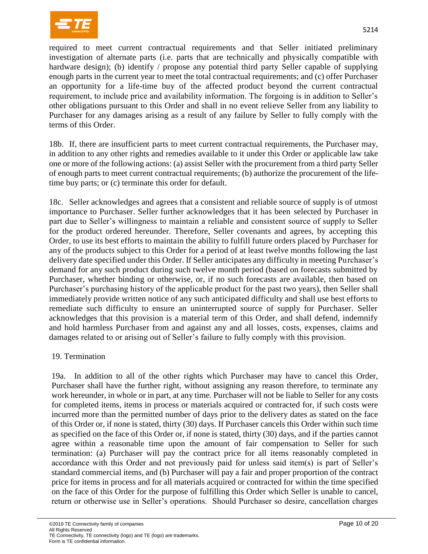

required to meet current contractual requirements and that Seller initiated preliminary investigation of alternate parts (i.e. parts that are technically and physically compatible with hardware design); (b) identify / propose any potential third party Seller capable of supplying enough parts in the current year to meet the total contractual requirements; and (c) offer Purchaser an opportunity for a life-time buy of the affected product beyond the current contractual requirement, to include price and availability information. The forgoing is in addition to Seller's other obligations pursuant to this Order and shall in no event relieve Seller from any liability to Purchaser for any damages arising as a result of any failure by Seller to fully comply with the terms of this Order.

18b. If, there are insufficient parts to meet current contractual requirements, the Purchaser may, in addition to any other rights and remedies available to it under this Order or applicable law take one or more of the following actions: (a) assist Seller with the procurement from a third party Seller of enough parts to meet current contractual requirements; (b) authorize the procurement of the lifetime buy parts; or (c) terminate this order for default.

18c. Seller acknowledges and agrees that a consistent and reliable source of supply is of utmost importance to Purchaser. Seller further acknowledges that it has been selected by Purchaser in part due to Seller's willingness to maintain a reliable and consistent source of supply to Seller for the product ordered hereunder. Therefore, Seller covenants and agrees, by accepting this Order, to use its best efforts to maintain the ability to fulfill future orders placed by Purchaser for any of the products subject to this Order for a period of at least twelve months following the last delivery date specified under this Order. If Seller anticipates any difficulty in meeting Purchaser's demand for any such product during such twelve month period (based on forecasts submitted by Purchaser, whether binding or otherwise, or, if no such forecasts are available, then based on Purchaser's purchasing history of the applicable product for the past two years), then Seller shall immediately provide written notice of any such anticipated difficulty and shall use best efforts to remediate such difficulty to ensure an uninterrupted source of supply for Purchaser. Seller acknowledges that this provision is a material term of this Order, and shall defend, indemnify and hold harmless Purchaser from and against any and all losses, costs, expenses, claims and damages related to or arising out of Seller's failure to fully comply with this provision.

#### 19. Termination

19a. In addition to all of the other rights which Purchaser may have to cancel this Order, Purchaser shall have the further right, without assigning any reason therefore, to terminate any work hereunder, in whole or in part, at any time. Purchaser will not be liable to Seller for any costs for completed items, items in process or materials acquired or contracted for, if such costs were incurred more than the permitted number of days prior to the delivery dates as stated on the face of this Order or, if none is stated, thirty (30) days. If Purchaser cancels this Order within such time as specified on the face of this Order or, if none is stated, thirty (30) days, and if the parties cannot agree within a reasonable time upon the amount of fair compensation to Seller for such termination: (a) Purchaser will pay the contract price for all items reasonably completed in accordance with this Order and not previously paid for unless said item(s) is part of Seller's standard commercial items, and (b) Purchaser will pay a fair and proper proportion of the contract price for items in process and for all materials acquired or contracted for within the time specified on the face of this Order for the purpose of fulfilling this Order which Seller is unable to cancel, return or otherwise use in Seller's operations. Should Purchaser so desire, cancellation charges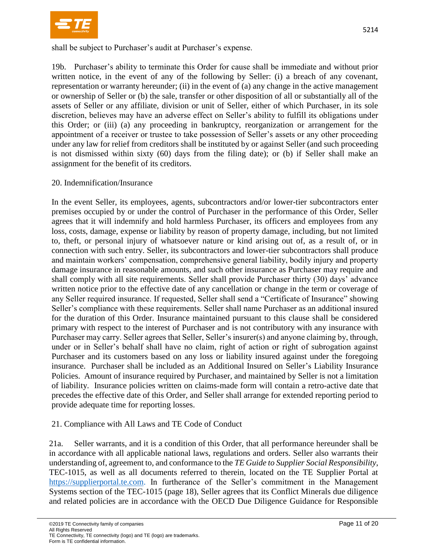

shall be subject to Purchaser's audit at Purchaser's expense.

19b. Purchaser's ability to terminate this Order for cause shall be immediate and without prior written notice, in the event of any of the following by Seller: (i) a breach of any covenant, representation or warranty hereunder; (ii) in the event of (a) any change in the active management or ownership of Seller or (b) the sale, transfer or other disposition of all or substantially all of the assets of Seller or any affiliate, division or unit of Seller, either of which Purchaser, in its sole discretion, believes may have an adverse effect on Seller's ability to fulfill its obligations under this Order; or (iii) (a) any proceeding in bankruptcy, reorganization or arrangement for the appointment of a receiver or trustee to take possession of Seller's assets or any other proceeding under any law for relief from creditors shall be instituted by or against Seller (and such proceeding is not dismissed within sixty (60) days from the filing date); or (b) if Seller shall make an assignment for the benefit of its creditors.

# 20. Indemnification/Insurance

In the event Seller, its employees, agents, subcontractors and/or lower-tier subcontractors enter premises occupied by or under the control of Purchaser in the performance of this Order, Seller agrees that it will indemnify and hold harmless Purchaser, its officers and employees from any loss, costs, damage, expense or liability by reason of property damage, including, but not limited to, theft, or personal injury of whatsoever nature or kind arising out of, as a result of, or in connection with such entry. Seller, its subcontractors and lower-tier subcontractors shall produce and maintain workers' compensation, comprehensive general liability, bodily injury and property damage insurance in reasonable amounts, and such other insurance as Purchaser may require and shall comply with all site requirements. Seller shall provide Purchaser thirty (30) days' advance written notice prior to the effective date of any cancellation or change in the term or coverage of any Seller required insurance. If requested, Seller shall send a "Certificate of Insurance" showing Seller's compliance with these requirements. Seller shall name Purchaser as an additional insured for the duration of this Order. Insurance maintained pursuant to this clause shall be considered primary with respect to the interest of Purchaser and is not contributory with any insurance with Purchaser may carry. Seller agrees that Seller, Seller's insurer(s) and anyone claiming by, through, under or in Seller's behalf shall have no claim, right of action or right of subrogation against Purchaser and its customers based on any loss or liability insured against under the foregoing insurance. Purchaser shall be included as an Additional Insured on Seller's Liability Insurance Policies. Amount of insurance required by Purchaser, and maintained by Seller is not a limitation of liability. Insurance policies written on claims-made form will contain a retro-active date that precedes the effective date of this Order, and Seller shall arrange for extended reporting period to provide adequate time for reporting losses.

#### 21. Compliance with All Laws and TE Code of Conduct

21a. Seller warrants, and it is a condition of this Order, that all performance hereunder shall be in accordance with all applicable national laws, regulations and orders. Seller also warrants their understanding of, agreement to, and conformance to the *TE Guide to Supplier Social Responsibility*, TEC-1015, as well as all documents referred to therein, located on the TE Supplier Portal at [https://supplierportal.te.com.](https://supplierportal.te.com/) In furtherance of the Seller's commitment in the Management Systems section of the TEC-1015 (page 18), Seller agrees that its Conflict Minerals due diligence and related policies are in accordance with the OECD Due Diligence Guidance for Responsible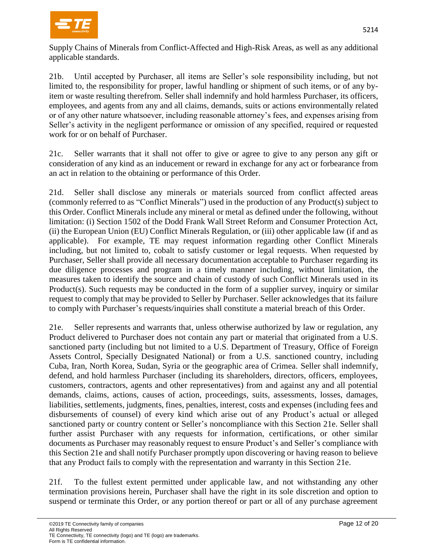

Supply Chains of Minerals from Conflict-Affected and High-Risk Areas, as well as any additional applicable standards.

21b. Until accepted by Purchaser, all items are Seller's sole responsibility including, but not limited to, the responsibility for proper, lawful handling or shipment of such items, or of any byitem or waste resulting therefrom. Seller shall indemnify and hold harmless Purchaser, its officers, employees, and agents from any and all claims, demands, suits or actions environmentally related or of any other nature whatsoever, including reasonable attorney's fees, and expenses arising from Seller's activity in the negligent performance or omission of any specified, required or requested work for or on behalf of Purchaser.

21c. Seller warrants that it shall not offer to give or agree to give to any person any gift or consideration of any kind as an inducement or reward in exchange for any act or forbearance from an act in relation to the obtaining or performance of this Order.

21d. Seller shall disclose any minerals or materials sourced from conflict affected areas (commonly referred to as "Conflict Minerals") used in the production of any Product(s) subject to this Order. Conflict Minerals include any mineral or metal as defined under the following, without limitation: (i) Section 1502 of the Dodd Frank Wall Street Reform and Consumer Protection Act, (ii) the European Union (EU) Conflict Minerals Regulation, or (iii) other applicable law (if and as applicable). For example, TE may request information regarding other Conflict Minerals including, but not limited to, cobalt to satisfy customer or legal requests. When requested by Purchaser, Seller shall provide all necessary documentation acceptable to Purchaser regarding its due diligence processes and program in a timely manner including, without limitation, the measures taken to identify the source and chain of custody of such Conflict Minerals used in its Product(s). Such requests may be conducted in the form of a supplier survey, inquiry or similar request to comply that may be provided to Seller by Purchaser. Seller acknowledges that its failure to comply with Purchaser's requests/inquiries shall constitute a material breach of this Order.

21e. Seller represents and warrants that, unless otherwise authorized by law or regulation, any Product delivered to Purchaser does not contain any part or material that originated from a U.S. sanctioned party (including but not limited to a U.S. Department of Treasury, Office of Foreign Assets Control, Specially Designated National) or from a U.S. sanctioned country, including Cuba, Iran, North Korea, Sudan, Syria or the geographic area of Crimea. Seller shall indemnify, defend, and hold harmless Purchaser (including its shareholders, directors, officers, employees, customers, contractors, agents and other representatives) from and against any and all potential demands, claims, actions, causes of action, proceedings, suits, assessments, losses, damages, liabilities, settlements, judgments, fines, penalties, interest, costs and expenses (including fees and disbursements of counsel) of every kind which arise out of any Product's actual or alleged sanctioned party or country content or Seller's noncompliance with this Section 21e. Seller shall further assist Purchaser with any requests for information, certifications, or other similar documents as Purchaser may reasonably request to ensure Product's and Seller's compliance with this Section 21e and shall notify Purchaser promptly upon discovering or having reason to believe that any Product fails to comply with the representation and warranty in this Section 21e.

21f. To the fullest extent permitted under applicable law, and not withstanding any other termination provisions herein, Purchaser shall have the right in its sole discretion and option to suspend or terminate this Order, or any portion thereof or part or all of any purchase agreement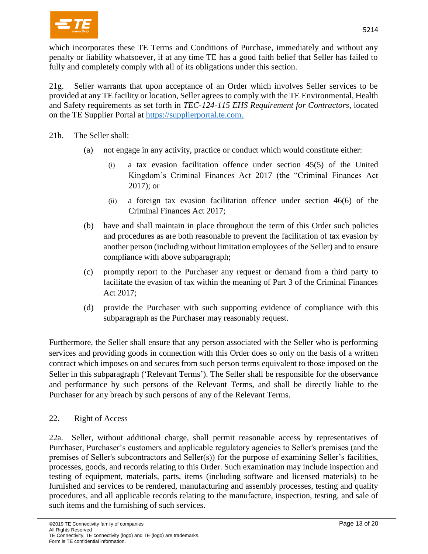

which incorporates these TE Terms and Conditions of Purchase, immediately and without any penalty or liability whatsoever, if at any time TE has a good faith belief that Seller has failed to fully and completely comply with all of its obligations under this section.

21g. Seller warrants that upon acceptance of an Order which involves Seller services to be provided at any TE facility or location, Seller agrees to comply with the TE Environmental, Health and Safety requirements as set forth in *TEC-124-115 EHS Requirement for Contractors*, located on the TE Supplier Portal at [https://supplierportal.te.com.](https://supplierportal.te.com/)

21h. The Seller shall:

- (a) not engage in any activity, practice or conduct which would constitute either:
	- (i) a tax evasion facilitation offence under section 45(5) of the United Kingdom's Criminal Finances Act 2017 (the "Criminal Finances Act 2017); or
	- (ii) a foreign tax evasion facilitation offence under section 46(6) of the Criminal Finances Act 2017;
- (b) have and shall maintain in place throughout the term of this Order such policies and procedures as are both reasonable to prevent the facilitation of tax evasion by another person (including without limitation employees of the Seller) and to ensure compliance with above subparagraph;
- (c) promptly report to the Purchaser any request or demand from a third party to facilitate the evasion of tax within the meaning of Part 3 of the Criminal Finances Act 2017;
- (d) provide the Purchaser with such supporting evidence of compliance with this subparagraph as the Purchaser may reasonably request.

Furthermore, the Seller shall ensure that any person associated with the Seller who is performing services and providing goods in connection with this Order does so only on the basis of a written contract which imposes on and secures from such person terms equivalent to those imposed on the Seller in this subparagraph ('Relevant Terms'). The Seller shall be responsible for the observance and performance by such persons of the Relevant Terms, and shall be directly liable to the Purchaser for any breach by such persons of any of the Relevant Terms.

# 22. Right of Access

22a. Seller, without additional charge, shall permit reasonable access by representatives of Purchaser, Purchaser's customers and applicable regulatory agencies to Seller's premises (and the premises of Seller's subcontractors and Seller(s)) for the purpose of examining Seller's facilities, processes, goods, and records relating to this Order. Such examination may include inspection and testing of equipment, materials, parts, items (including software and licensed materials) to be furnished and services to be rendered, manufacturing and assembly processes, testing and quality procedures, and all applicable records relating to the manufacture, inspection, testing, and sale of such items and the furnishing of such services.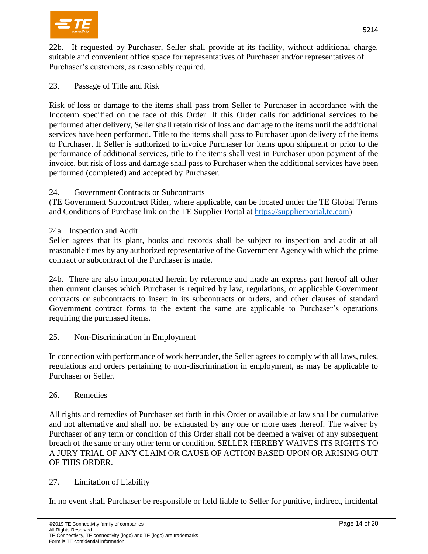

22b. If requested by Purchaser, Seller shall provide at its facility, without additional charge, suitable and convenient office space for representatives of Purchaser and/or representatives of Purchaser's customers, as reasonably required.

23. Passage of Title and Risk

Risk of loss or damage to the items shall pass from Seller to Purchaser in accordance with the Incoterm specified on the face of this Order. If this Order calls for additional services to be performed after delivery, Seller shall retain risk of loss and damage to the items until the additional services have been performed. Title to the items shall pass to Purchaser upon delivery of the items to Purchaser. If Seller is authorized to invoice Purchaser for items upon shipment or prior to the performance of additional services, title to the items shall vest in Purchaser upon payment of the invoice, but risk of loss and damage shall pass to Purchaser when the additional services have been performed (completed) and accepted by Purchaser.

# 24. Government Contracts or Subcontracts

(TE Government Subcontract Rider, where applicable, can be located under the TE Global Terms and Conditions of Purchase link on the TE Supplier Portal at [https://supplierportal.te.com\)](https://supplierportal.te.com/)

### 24a. Inspection and Audit

Seller agrees that its plant, books and records shall be subject to inspection and audit at all reasonable times by any authorized representative of the Government Agency with which the prime contract or subcontract of the Purchaser is made.

24b. There are also incorporated herein by reference and made an express part hereof all other then current clauses which Purchaser is required by law, regulations, or applicable Government contracts or subcontracts to insert in its subcontracts or orders, and other clauses of standard Government contract forms to the extent the same are applicable to Purchaser's operations requiring the purchased items.

# 25. Non-Discrimination in Employment

In connection with performance of work hereunder, the Seller agrees to comply with all laws, rules, regulations and orders pertaining to non-discrimination in employment, as may be applicable to Purchaser or Seller.

# 26. Remedies

All rights and remedies of Purchaser set forth in this Order or available at law shall be cumulative and not alternative and shall not be exhausted by any one or more uses thereof. The waiver by Purchaser of any term or condition of this Order shall not be deemed a waiver of any subsequent breach of the same or any other term or condition. SELLER HEREBY WAIVES ITS RIGHTS TO A JURY TRIAL OF ANY CLAIM OR CAUSE OF ACTION BASED UPON OR ARISING OUT OF THIS ORDER.

#### 27. Limitation of Liability

In no event shall Purchaser be responsible or held liable to Seller for punitive, indirect, incidental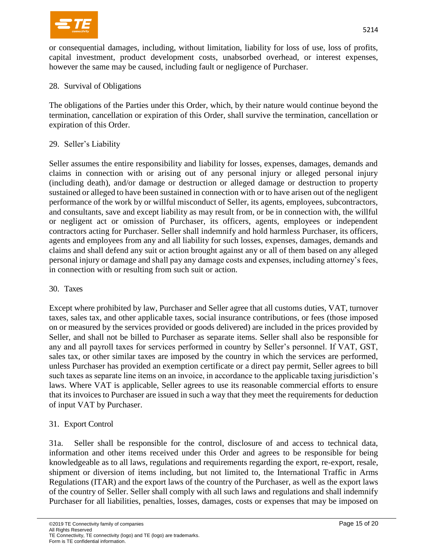

or consequential damages, including, without limitation, liability for loss of use, loss of profits, capital investment, product development costs, unabsorbed overhead, or interest expenses, however the same may be caused, including fault or negligence of Purchaser.

### 28. Survival of Obligations

The obligations of the Parties under this Order, which, by their nature would continue beyond the termination, cancellation or expiration of this Order, shall survive the termination, cancellation or expiration of this Order.

### 29. Seller's Liability

Seller assumes the entire responsibility and liability for losses, expenses, damages, demands and claims in connection with or arising out of any personal injury or alleged personal injury (including death), and/or damage or destruction or alleged damage or destruction to property sustained or alleged to have been sustained in connection with or to have arisen out of the negligent performance of the work by or willful misconduct of Seller, its agents, employees, subcontractors, and consultants, save and except liability as may result from, or be in connection with, the willful or negligent act or omission of Purchaser, its officers, agents, employees or independent contractors acting for Purchaser. Seller shall indemnify and hold harmless Purchaser, its officers, agents and employees from any and all liability for such losses, expenses, damages, demands and claims and shall defend any suit or action brought against any or all of them based on any alleged personal injury or damage and shall pay any damage costs and expenses, including attorney's fees, in connection with or resulting from such suit or action.

#### 30. Taxes

Except where prohibited by law, Purchaser and Seller agree that all customs duties, VAT, turnover taxes, sales tax, and other applicable taxes, social insurance contributions, or fees (those imposed on or measured by the services provided or goods delivered) are included in the prices provided by Seller, and shall not be billed to Purchaser as separate items. Seller shall also be responsible for any and all payroll taxes for services performed in country by Seller's personnel. If VAT, GST, sales tax, or other similar taxes are imposed by the country in which the services are performed, unless Purchaser has provided an exemption certificate or a direct pay permit, Seller agrees to bill such taxes as separate line items on an invoice, in accordance to the applicable taxing jurisdiction's laws. Where VAT is applicable, Seller agrees to use its reasonable commercial efforts to ensure that its invoices to Purchaser are issued in such a way that they meet the requirements for deduction of input VAT by Purchaser.

# 31. Export Control

31a. Seller shall be responsible for the control, disclosure of and access to technical data, information and other items received under this Order and agrees to be responsible for being knowledgeable as to all laws, regulations and requirements regarding the export, re-export, resale, shipment or diversion of items including, but not limited to, the International Traffic in Arms Regulations (ITAR) and the export laws of the country of the Purchaser, as well as the export laws of the country of Seller. Seller shall comply with all such laws and regulations and shall indemnify Purchaser for all liabilities, penalties, losses, damages, costs or expenses that may be imposed on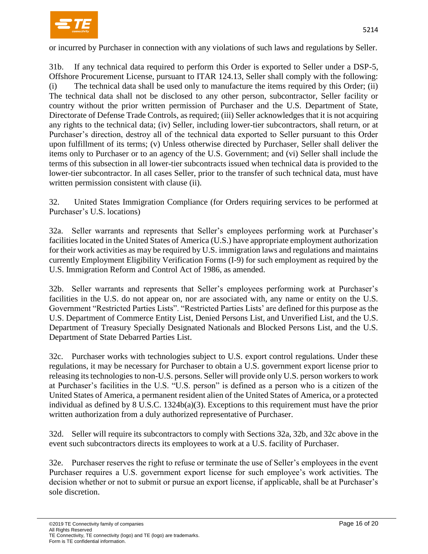

or incurred by Purchaser in connection with any violations of such laws and regulations by Seller.

31b. If any technical data required to perform this Order is exported to Seller under a DSP-5, Offshore Procurement License, pursuant to ITAR 124.13, Seller shall comply with the following: (i) The technical data shall be used only to manufacture the items required by this Order; (ii) The technical data shall not be disclosed to any other person, subcontractor, Seller facility or country without the prior written permission of Purchaser and the U.S. Department of State, Directorate of Defense Trade Controls, as required; (iii) Seller acknowledges that it is not acquiring any rights to the technical data; (iv) Seller, including lower-tier subcontractors, shall return, or at Purchaser's direction, destroy all of the technical data exported to Seller pursuant to this Order upon fulfillment of its terms; (v) Unless otherwise directed by Purchaser, Seller shall deliver the items only to Purchaser or to an agency of the U.S. Government; and (vi) Seller shall include the terms of this subsection in all lower-tier subcontracts issued when technical data is provided to the lower-tier subcontractor. In all cases Seller, prior to the transfer of such technical data, must have written permission consistent with clause (ii).

32. United States Immigration Compliance (for Orders requiring services to be performed at Purchaser's U.S. locations)

32a. Seller warrants and represents that Seller's employees performing work at Purchaser's facilities located in the United States of America (U.S.) have appropriate employment authorization for their work activities as may be required by U.S. immigration laws and regulations and maintains currently Employment Eligibility Verification Forms (I-9) for such employment as required by the U.S. Immigration Reform and Control Act of 1986, as amended.

32b. Seller warrants and represents that Seller's employees performing work at Purchaser's facilities in the U.S. do not appear on, nor are associated with, any name or entity on the U.S. Government "Restricted Parties Lists". "Restricted Parties Lists' are defined for this purpose as the U.S. Department of Commerce Entity List, Denied Persons List, and Unverified List, and the U.S. Department of Treasury Specially Designated Nationals and Blocked Persons List, and the U.S. Department of State Debarred Parties List.

32c. Purchaser works with technologies subject to U.S. export control regulations. Under these regulations, it may be necessary for Purchaser to obtain a U.S. government export license prior to releasing its technologies to non-U.S. persons. Seller will provide only U.S. person workers to work at Purchaser's facilities in the U.S. "U.S. person" is defined as a person who is a citizen of the United States of America, a permanent resident alien of the United States of America, or a protected individual as defined by  $8 \text{ U.S.C. } 1324b(a)(3)$ . Exceptions to this requirement must have the prior written authorization from a duly authorized representative of Purchaser.

32d. Seller will require its subcontractors to comply with Sections 32a, 32b, and 32c above in the event such subcontractors directs its employees to work at a U.S. facility of Purchaser.

32e. Purchaser reserves the right to refuse or terminate the use of Seller's employees in the event Purchaser requires a U.S. government export license for such employee's work activities. The decision whether or not to submit or pursue an export license, if applicable, shall be at Purchaser's sole discretion.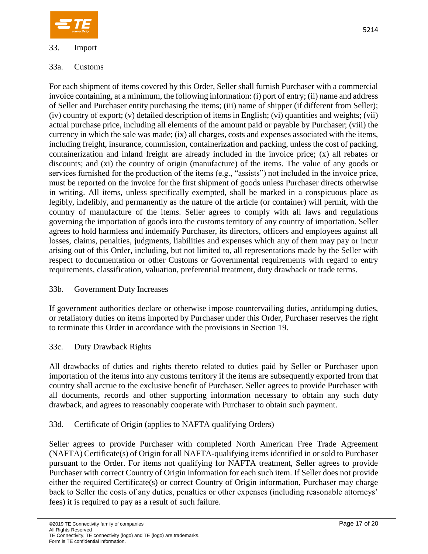

# 33. Import

## 33a. Customs

For each shipment of items covered by this Order, Seller shall furnish Purchaser with a commercial invoice containing, at a minimum, the following information: (i) port of entry; (ii) name and address of Seller and Purchaser entity purchasing the items; (iii) name of shipper (if different from Seller); (iv) country of export; (v) detailed description of items in English; (vi) quantities and weights; (vii) actual purchase price, including all elements of the amount paid or payable by Purchaser; (viii) the currency in which the sale was made; (ix) all charges, costs and expenses associated with the items, including freight, insurance, commission, containerization and packing, unless the cost of packing, containerization and inland freight are already included in the invoice price; (x) all rebates or discounts; and (xi) the country of origin (manufacture) of the items. The value of any goods or services furnished for the production of the items (e.g., "assists") not included in the invoice price, must be reported on the invoice for the first shipment of goods unless Purchaser directs otherwise in writing. All items, unless specifically exempted, shall be marked in a conspicuous place as legibly, indelibly, and permanently as the nature of the article (or container) will permit, with the country of manufacture of the items. Seller agrees to comply with all laws and regulations governing the importation of goods into the customs territory of any country of importation. Seller agrees to hold harmless and indemnify Purchaser, its directors, officers and employees against all losses, claims, penalties, judgments, liabilities and expenses which any of them may pay or incur arising out of this Order, including, but not limited to, all representations made by the Seller with respect to documentation or other Customs or Governmental requirements with regard to entry requirements, classification, valuation, preferential treatment, duty drawback or trade terms.

# 33b. Government Duty Increases

If government authorities declare or otherwise impose countervailing duties, antidumping duties, or retaliatory duties on items imported by Purchaser under this Order, Purchaser reserves the right to terminate this Order in accordance with the provisions in Section 19.

# 33c. Duty Drawback Rights

All drawbacks of duties and rights thereto related to duties paid by Seller or Purchaser upon importation of the items into any customs territory if the items are subsequently exported from that country shall accrue to the exclusive benefit of Purchaser. Seller agrees to provide Purchaser with all documents, records and other supporting information necessary to obtain any such duty drawback, and agrees to reasonably cooperate with Purchaser to obtain such payment.

# 33d. Certificate of Origin (applies to NAFTA qualifying Orders)

Seller agrees to provide Purchaser with completed North American Free Trade Agreement (NAFTA) Certificate(s) of Origin for all NAFTA-qualifying items identified in or sold to Purchaser pursuant to the Order. For items not qualifying for NAFTA treatment, Seller agrees to provide Purchaser with correct Country of Origin information for each such item. If Seller does not provide either the required Certificate(s) or correct Country of Origin information, Purchaser may charge back to Seller the costs of any duties, penalties or other expenses (including reasonable attorneys' fees) it is required to pay as a result of such failure.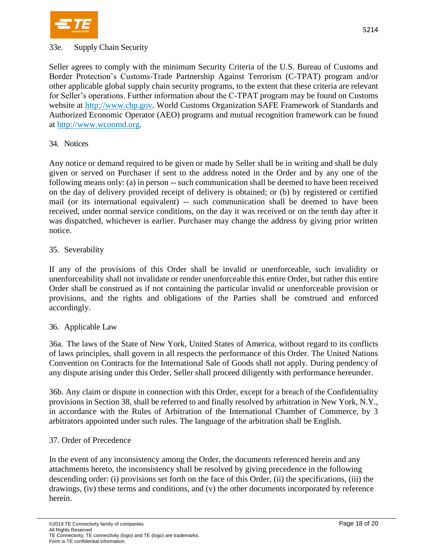

#### 33e. Supply Chain Security

Seller agrees to comply with the minimum Security Criteria of the U.S. Bureau of Customs and Border Protection's Customs-Trade Partnership Against Terrorism (C-TPAT) program and/or other applicable global supply chain security programs, to the extent that these criteria are relevant for Seller's operations. Further information about the C-TPAT program may be found on Customs website at [http://www.cbp.gov.](http://www.cbp.gov/) World Customs Organization SAFE Framework of Standards and Authorized Economic Operator (AEO) programs and mutual recognition framework can be found at [http://www.wcoomd.org.](http://www.wcoomd.org/)

#### 34. Notices

Any notice or demand required to be given or made by Seller shall be in writing and shall be duly given or served on Purchaser if sent to the address noted in the Order and by any one of the following means only: (a) in person -- such communication shall be deemed to have been received on the day of delivery provided receipt of delivery is obtained; or (b) by registered or certified mail (or its international equivalent) -- such communication shall be deemed to have been received, under normal service conditions, on the day it was received or on the tenth day after it was dispatched, whichever is earlier. Purchaser may change the address by giving prior written notice.

#### 35. Severability

If any of the provisions of this Order shall be invalid or unenforceable, such invalidity or unenforceability shall not invalidate or render unenforceable this entire Order, but rather this entire Order shall be construed as if not containing the particular invalid or unenforceable provision or provisions, and the rights and obligations of the Parties shall be construed and enforced accordingly.

#### 36. Applicable Law

36a. The laws of the State of New York, United States of America, without regard to its conflicts of laws principles, shall govern in all respects the performance of this Order. The United Nations Convention on Contracts for the International Sale of Goods shall not apply. During pendency of any dispute arising under this Order, Seller shall proceed diligently with performance hereunder.

36b. Any claim or dispute in connection with this Order, except for a breach of the Confidentiality provisions in Section 38, shall be referred to and finally resolved by arbitration in New York, N.Y., in accordance with the Rules of Arbitration of the International Chamber of Commerce, by 3 arbitrators appointed under such rules. The language of the arbitration shall be English.

#### 37. Order of Precedence

In the event of any inconsistency among the Order, the documents referenced herein and any attachments hereto, the inconsistency shall be resolved by giving precedence in the following descending order: (i) provisions set forth on the face of this Order, (ii) the specifications, (iii) the drawings, (iv) these terms and conditions, and (v) the other documents incorporated by reference herein.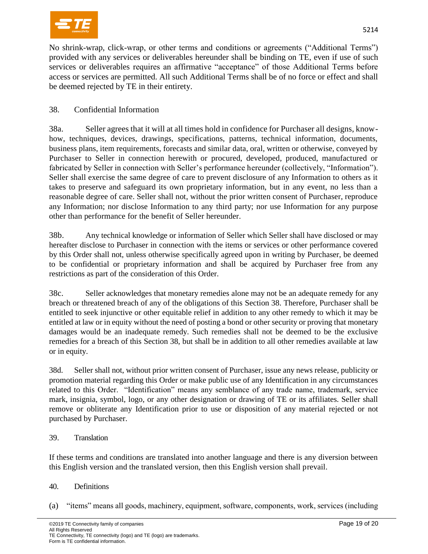

No shrink-wrap, click-wrap, or other terms and conditions or agreements ("Additional Terms") provided with any services or deliverables hereunder shall be binding on TE, even if use of such services or deliverables requires an affirmative "acceptance" of those Additional Terms before access or services are permitted. All such Additional Terms shall be of no force or effect and shall be deemed rejected by TE in their entirety.

# 38. Confidential Information

38a. Seller agrees that it will at all times hold in confidence for Purchaser all designs, knowhow, techniques, devices, drawings, specifications, patterns, technical information, documents, business plans, item requirements, forecasts and similar data, oral, written or otherwise, conveyed by Purchaser to Seller in connection herewith or procured, developed, produced, manufactured or fabricated by Seller in connection with Seller's performance hereunder (collectively, "Information"). Seller shall exercise the same degree of care to prevent disclosure of any Information to others as it takes to preserve and safeguard its own proprietary information, but in any event, no less than a reasonable degree of care. Seller shall not, without the prior written consent of Purchaser, reproduce any Information; nor disclose Information to any third party; nor use Information for any purpose other than performance for the benefit of Seller hereunder.

38b. Any technical knowledge or information of Seller which Seller shall have disclosed or may hereafter disclose to Purchaser in connection with the items or services or other performance covered by this Order shall not, unless otherwise specifically agreed upon in writing by Purchaser, be deemed to be confidential or proprietary information and shall be acquired by Purchaser free from any restrictions as part of the consideration of this Order.

38c. Seller acknowledges that monetary remedies alone may not be an adequate remedy for any breach or threatened breach of any of the obligations of this Section 38. Therefore, Purchaser shall be entitled to seek injunctive or other equitable relief in addition to any other remedy to which it may be entitled at law or in equity without the need of posting a bond or other security or proving that monetary damages would be an inadequate remedy. Such remedies shall not be deemed to be the exclusive remedies for a breach of this Section 38, but shall be in addition to all other remedies available at law or in equity.

38d. Seller shall not, without prior written consent of Purchaser, issue any news release, publicity or promotion material regarding this Order or make public use of any Identification in any circumstances related to this Order. "Identification" means any semblance of any trade name, trademark, service mark, insignia, symbol, logo, or any other designation or drawing of TE or its affiliates. Seller shall remove or obliterate any Identification prior to use or disposition of any material rejected or not purchased by Purchaser.

# 39. Translation

If these terms and conditions are translated into another language and there is any diversion between this English version and the translated version, then this English version shall prevail.

#### 40. Definitions

(a) "items" means all goods, machinery, equipment, software, components, work, services (including